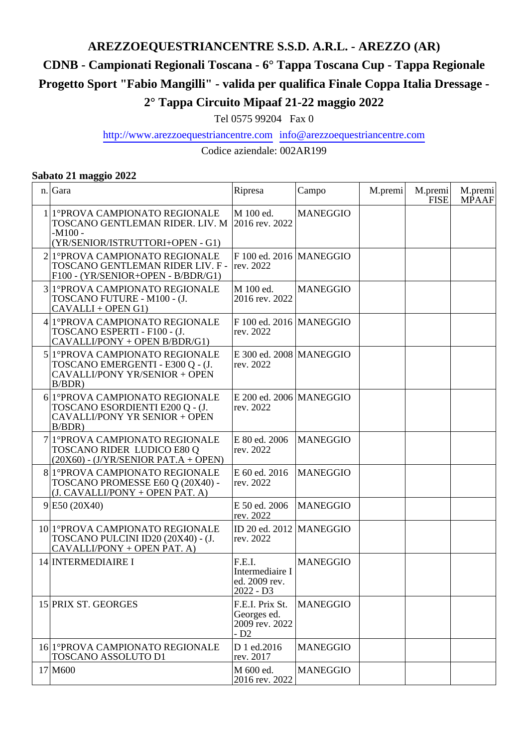# **AREZZOEQUESTRIANCENTRE S.S.D. A.R.L. - AREZZO (AR)**

## **CDNB - Campionati Regionali Toscana - 6° Tappa Toscana Cup - Tappa Regionale**

**Progetto Sport "Fabio Mangilli" - valida per qualifica Finale Coppa Italia Dressage -**

### **2° Tappa Circuito Mipaaf 21-22 maggio 2022**

Tel 0575 99204 Fax 0

#### http://www.arezzoequestriancentre.com info@arezzoequestriancentre.com

Codice aziendale: 002AR199

#### **Sabato 21 maggio 2022**

| n. Gara                                                                                                               | Ripresa                                                   | Campo           | M.premi | M.premi<br><b>FISE</b> | M.premi<br><b>MPAAF</b> |
|-----------------------------------------------------------------------------------------------------------------------|-----------------------------------------------------------|-----------------|---------|------------------------|-------------------------|
| 1 1 PROVA CAMPIONATO REGIONALE<br>TOSCANO GENTLEMAN RIDER. LIV. M<br>$-M100 -$<br>(YR/SENIOR/ISTRUTTORI+OPEN - G1)    | M 100 ed.<br>2016 rev. 2022                               | <b>MANEGGIO</b> |         |                        |                         |
| 2 <sup> </sup> 1°PROVA CAMPIONATO REGIONALE<br>TOSCANO GENTLEMAN RIDER LIV. F -<br>F100 - (YR/SENIOR+OPEN - B/BDR/G1) | $F$ 100 ed. 2016   MANEGGIO<br>rev. 2022                  |                 |         |                        |                         |
| 3 1 PROVA CAMPIONATO REGIONALE<br>TOSCANO FUTURE - M100 - (J.<br>CAVALLI + OPEN G1)                                   | M 100 ed.<br>2016 rev. 2022                               | <b>MANEGGIO</b> |         |                        |                         |
| 4 1º PROVA CAMPIONATO REGIONALE<br>TOSCANO ESPERTI - F100 - (J.<br>CAVALLI/PONY + OPEN B/BDR/G1)                      | $F$ 100 ed. 2016   MANEGGIO<br>rev. 2022                  |                 |         |                        |                         |
| 5 1°PROVA CAMPIONATO REGIONALE<br>TOSCANO EMERGENTI - E300 Q - (J.<br>CAVALLI/PONY YR/SENIOR + OPEN<br>B/BDR          | $E$ 300 ed. 2008 MANEGGIO<br>rev. 2022                    |                 |         |                        |                         |
| 6 1º PROVA CAMPIONATO REGIONALE<br>TOSCANO ESORDIENTI E200 Q - (J.<br>CAVALLI/PONY YR SENIOR + OPEN<br>B/BDR          | $E$ 200 ed. 2006 MANEGGIO<br>rev. 2022                    |                 |         |                        |                         |
| 7 1º PROVA CAMPIONATO REGIONALE<br>TOSCANO RIDER LUDICO E80 Q<br>$(20X60) - (J/YR/SEMOR PAT.A + OPER)$                | E 80 ed. 2006<br>rev. 2022                                | <b>MANEGGIO</b> |         |                        |                         |
| 8 1º PROVA CAMPIONATO REGIONALE<br>TOSCANO PROMESSE E60 Q (20X40) -<br>(J. CAVALLI/PONY + OPEN PAT. A)                | E 60 ed. 2016<br>rev. 2022                                | <b>MANEGGIO</b> |         |                        |                         |
| 9 E50(20X40)                                                                                                          | E 50 ed. 2006<br>rev. 2022                                | <b>MANEGGIO</b> |         |                        |                         |
| 10 1° PROVA CAMPIONATO REGIONALE<br>TOSCANO PULCINI ID20 (20X40) - (J.<br>CAVALLI/PONY + OPEN PAT. A)                 | ID 20 ed. 2012   MANEGGIO<br>rev. 2022                    |                 |         |                        |                         |
| 14 INTERMEDIAIRE I                                                                                                    | F.E.I.<br>Intermediaire I<br>ed. 2009 rev.<br>$2022 - D3$ | <b>MANEGGIO</b> |         |                        |                         |
| 15 PRIX ST. GEORGES                                                                                                   | F.E.I. Prix St.<br>Georges ed.<br>2009 rev. 2022<br>$-D2$ | <b>MANEGGIO</b> |         |                        |                         |
| 16 1° PROVA CAMPIONATO REGIONALE<br>TOSCANO ASSOLUTO D1                                                               | D 1 ed.2016<br>rev. 2017                                  | <b>MANEGGIO</b> |         |                        |                         |
| 17 M600                                                                                                               | M 600 ed.<br>2016 rev. 2022                               | <b>MANEGGIO</b> |         |                        |                         |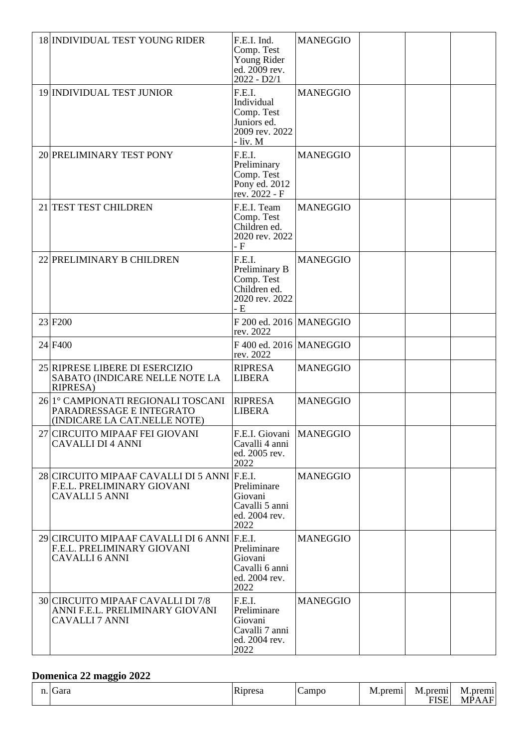| 18 INDIVIDUAL TEST YOUNG RIDER                                                                     | F.E.I. Ind.<br>Comp. Test<br>Young Rider<br>ed. 2009 rev.<br>$2022 - D2/1$      | <b>MANEGGIO</b> |  |  |
|----------------------------------------------------------------------------------------------------|---------------------------------------------------------------------------------|-----------------|--|--|
| 19 INDIVIDUAL TEST JUNIOR                                                                          | F.E.I.<br>Individual<br>Comp. Test<br>Juniors ed.<br>2009 rev. 2022<br>- liv. M | <b>MANEGGIO</b> |  |  |
| 20 PRELIMINARY TEST PONY                                                                           | F.E.I.<br>Preliminary<br>Comp. Test<br>Pony ed. 2012<br>rev. 2022 - F           | <b>MANEGGIO</b> |  |  |
| 21 TEST TEST CHILDREN                                                                              | F.E.I. Team<br>Comp. Test<br>Children ed.<br>2020 rev. 2022<br>$-F$             | <b>MANEGGIO</b> |  |  |
| 22 PRELIMINARY B CHILDREN                                                                          | F.E.I.<br>Preliminary B<br>Comp. Test<br>Children ed.<br>2020 rev. 2022<br>- E  | <b>MANEGGIO</b> |  |  |
| 23 F <sub>200</sub>                                                                                | $F$ 200 ed. 2016   MANEGGIO<br>rev. 2022                                        |                 |  |  |
| 24 F400                                                                                            | F 400 ed. 2016   MANEGGIO<br>rev. 2022                                          |                 |  |  |
| 25 RIPRESE LIBERE DI ESERCIZIO<br>SABATO (INDICARE NELLE NOTE LA<br><b>RIPRESA</b> )               | <b>RIPRESA</b><br><b>LIBERA</b>                                                 | <b>MANEGGIO</b> |  |  |
| 26 1° CAMPIONATI REGIONALI TOSCANI<br>PARADRESSAGE E INTEGRATO<br>(INDICARE LA CAT.NELLE NOTE)     | <b>RIPRESA</b><br>LIBERA                                                        | <b>MANEGGIO</b> |  |  |
| 27 CIRCUITO MIPAAF FEI GIOVANI<br><b>CAVALLI DI 4 ANNI</b>                                         | F.E.I. Giovani<br>Cavalli 4 anni<br>ed. 2005 rev.<br>2022                       | <b>MANEGGIO</b> |  |  |
| 28 CIRCUITO MIPAAF CAVALLI DI 5 ANNI F.E.I.<br>F.E.L. PRELIMINARY GIOVANI<br><b>CAVALLI 5 ANNI</b> | Preliminare<br>Giovani<br>Cavalli 5 anni<br>ed. 2004 rev.<br>2022               | <b>MANEGGIO</b> |  |  |
| 29 CIRCUITO MIPAAF CAVALLI DI 6 ANNI F.E.I.<br>F.E.L. PRELIMINARY GIOVANI<br><b>CAVALLI 6 ANNI</b> | Preliminare<br>Giovani<br>Cavalli 6 anni<br>ed. 2004 rev.<br>2022               | <b>MANEGGIO</b> |  |  |
| 30 CIRCUITO MIPAAF CAVALLI DI 7/8<br>ANNI F.E.L. PRELIMINARY GIOVANI<br><b>CAVALLI 7 ANNI</b>      | F.E.I.<br>Preliminare<br>Giovani<br>Cavalli 7 anni<br>ed. 2004 rev.<br>2022     | <b>MANEGGIO</b> |  |  |

### **Domenica 22 maggio 2022**

| . | dara | ΙR<br>noresa | Campo | M<br>.premi | $\cdot$<br>premi<br>M.1<br>$\leq$ $\vdash$<br>ுப | prem<br>M.<br>$\sim$<br>MPA |
|---|------|--------------|-------|-------------|--------------------------------------------------|-----------------------------|
|---|------|--------------|-------|-------------|--------------------------------------------------|-----------------------------|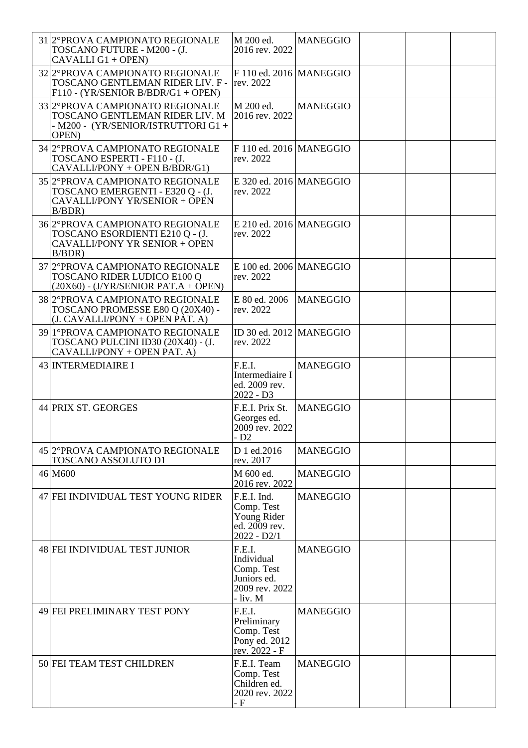| 31 2° PROVA CAMPIONATO REGIONALE<br>TOSCANO FUTURE - M200 - (J.<br>CAVALLI G1 + OPEN)                                      | M 200 ed.<br>2016 rev. 2022                                                     | <b>MANEGGIO</b> |  |  |
|----------------------------------------------------------------------------------------------------------------------------|---------------------------------------------------------------------------------|-----------------|--|--|
| 32 2° PROVA CAMPIONATO REGIONALE<br>TOSCANO GENTLEMAN RIDER LIV. F -<br>$F110 - (YR/SEMOR B/BDR/G1 + OPER)$                | F 110 ed. 2016   MANEGGIO<br>rev. 2022                                          |                 |  |  |
| 33 2° PROVA CAMPIONATO REGIONALE<br>TOSCANO GENTLEMAN RIDER LIV. M<br>- M200 - (YR/SENIOR/ISTRUTTORI G1 +<br><b>OPEN</b> ) | M 200 ed.<br>2016 rev. 2022                                                     | <b>MANEGGIO</b> |  |  |
| 34 2° PROVA CAMPIONATO REGIONALE<br>TOSCANO ESPERTI - F110 - (J.<br>CAVALLI/PONY + OPEN B/BDR/G1)                          | F 110 ed. 2016   MANEGGIO<br>rev. 2022                                          |                 |  |  |
| 35 2° PROVA CAMPIONATO REGIONALE<br>TOSCANO EMERGENTI - E320 Q - (J.<br>CAVALLI/PONY YR/SENIOR + OPEN<br>B/BDR             | $E$ 320 ed. 2016 MANEGGIO<br>rev. 2022                                          |                 |  |  |
| 36 2° PROVA CAMPIONATO REGIONALE<br>TOSCANO ESORDIENTI E210 Q - (J.<br>CAVALLI/PONY YR SENIOR + OPEN<br>B/BDR              | $E$ 210 ed. 2016 MANEGGIO<br>rev. 2022                                          |                 |  |  |
| 37 2°PROVA CAMPIONATO REGIONALE<br>TOSCANO RIDER LUDICO E100 Q<br>$(20X60)$ - $(J/YR/SENIOR$ PAT.A + OPEN)                 | $E$ 100 ed. 2006 MANEGGIO<br>rev. 2022                                          |                 |  |  |
| 38 2° PROVA CAMPIONATO REGIONALE<br>TOSCANO PROMESSE E80 Q (20X40) -<br>(J. CAVALLI/PONY + OPEN PAT. A)                    | E 80 ed. 2006<br>rev. 2022                                                      | <b>MANEGGIO</b> |  |  |
| 39 1° PROVA CAMPIONATO REGIONALE<br>TOSCANO PULCINI ID30 (20X40) - (J.<br>CAVALLI/PONY + OPEN PAT. A)                      | ID 30 ed. 2012 MANEGGIO<br>rev. 2022                                            |                 |  |  |
| 43 INTERMEDIAIRE I                                                                                                         | F.E.I.<br>Intermediaire I<br>ed. 2009 rev.<br>$2022 - D3$                       | <b>MANEGGIO</b> |  |  |
| 44 PRIX ST. GEORGES                                                                                                        | F.E.I. Prix St.<br>Georges ed.<br>2009 rev. 2022<br>$-D2$                       | <b>MANEGGIO</b> |  |  |
| 45 2°PROVA CAMPIONATO REGIONALE<br>TOSCANO ASSOLUTO D1                                                                     | D 1 ed.2016<br>rev. 2017                                                        | <b>MANEGGIO</b> |  |  |
| 46 M600                                                                                                                    | M 600 ed.<br>2016 rev. 2022                                                     | <b>MANEGGIO</b> |  |  |
| 47 FEI INDIVIDUAL TEST YOUNG RIDER                                                                                         | F.E.I. Ind.<br>Comp. Test<br>Young Rider<br>ed. 2009 rev.<br>$2022 - D2/1$      | <b>MANEGGIO</b> |  |  |
| 48 FEI INDIVIDUAL TEST JUNIOR                                                                                              | F.E.I.<br>Individual<br>Comp. Test<br>Juniors ed.<br>2009 rev. 2022<br>- liv. M | <b>MANEGGIO</b> |  |  |
| 49 FEI PRELIMINARY TEST PONY                                                                                               | F.E.I.<br>Preliminary<br>Comp. Test<br>Pony ed. 2012<br>rev. 2022 - F           | <b>MANEGGIO</b> |  |  |
| 50 FEI TEAM TEST CHILDREN                                                                                                  | F.E.I. Team<br>Comp. Test<br>Children ed.<br>2020 rev. 2022<br>- F              | <b>MANEGGIO</b> |  |  |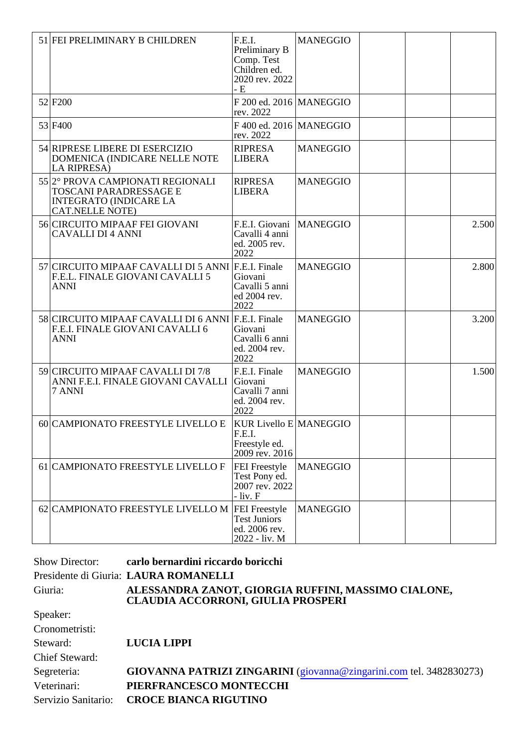| 51 FEI PRELIMINARY B CHILDREN                                                                                         | F.E.I.<br>Preliminary B<br>Comp. Test<br>Children ed.<br>2020 rev. 2022<br>- E | <b>MANEGGIO</b> |  |       |
|-----------------------------------------------------------------------------------------------------------------------|--------------------------------------------------------------------------------|-----------------|--|-------|
| 52 F <sub>200</sub>                                                                                                   | $F$ 200 ed. 2016   MANEGGIO<br>rev. 2022                                       |                 |  |       |
| 53 F400                                                                                                               | $F$ 400 ed. 2016 MANEGGIO<br>rev. 2022                                         |                 |  |       |
| 54 RIPRESE LIBERE DI ESERCIZIO<br>DOMENICA (INDICARE NELLE NOTE<br>LA RIPRESA)                                        | <b>RIPRESA</b><br><b>LIBERA</b>                                                | <b>MANEGGIO</b> |  |       |
| 55 2° PROVA CAMPIONATI REGIONALI<br>TOSCANI PARADRESSAGE E<br><b>INTEGRATO (INDICARE LA</b><br><b>CAT.NELLE NOTE)</b> | <b>RIPRESA</b><br><b>LIBERA</b>                                                | <b>MANEGGIO</b> |  |       |
| 56 CIRCUITO MIPAAF FEI GIOVANI<br><b>CAVALLI DI 4 ANNI</b>                                                            | F.E.I. Giovani<br>Cavalli 4 anni<br>ed. 2005 rev.<br>2022                      | <b>MANEGGIO</b> |  | 2.500 |
| 57 CIRCUITO MIPAAF CAVALLI DI 5 ANNI<br>F.E.L. FINALE GIOVANI CAVALLI 5<br><b>ANNI</b>                                | F.E.I. Finale<br>Giovani<br>Cavalli 5 anni<br>ed 2004 rev.<br>2022             | <b>MANEGGIO</b> |  | 2.800 |
| 58 CIRCUITO MIPAAF CAVALLI DI 6 ANNI<br>F.E.I. FINALE GIOVANI CAVALLI 6<br><b>ANNI</b>                                | F.E.I. Finale<br>Giovani<br>Cavalli 6 anni<br>ed. 2004 rev.<br>2022            | <b>MANEGGIO</b> |  | 3.200 |
| 59 CIRCUITO MIPAAF CAVALLI DI 7/8<br>ANNI F.E.I. FINALE GIOVANI CAVALLI<br>7 ANNI                                     | F.E.I. Finale<br>Giovani<br>Cavalli 7 anni<br>ed. 2004 rev.<br>2022            | <b>MANEGGIO</b> |  | 1.500 |
| 60 CAMPIONATO FREESTYLE LIVELLO E                                                                                     | <b>KUR Livello E MANEGGIO</b><br>F.E.I.<br>Freestyle ed.<br>2009 rev. 2016     |                 |  |       |
| 61 CAMPIONATO FREESTYLE LIVELLO F                                                                                     | FEI Freestyle<br>Test Pony ed.<br>2007 rev. 2022<br>$-$ liv. $F$               | <b>MANEGGIO</b> |  |       |
| 62 CAMPIONATO FREESTYLE LIVELLO M FEI Freestyle                                                                       | <b>Test Juniors</b><br>ed. 2006 rev.<br>2022 - liv. M                          | <b>MANEGGIO</b> |  |       |

|                       | Show Director: carlo bernardini riccardo boricchi                                                |
|-----------------------|--------------------------------------------------------------------------------------------------|
|                       | Presidente di Giuria: LAURA ROMANELLI                                                            |
| Giuria:               | ALESSANDRA ZANOT, GIORGIA RUFFINI, MASSIMO CIALONE,<br><b>CLAUDIA ACCORRONI, GIULIA PROSPERI</b> |
| Speaker:              |                                                                                                  |
| Cronometristi:        |                                                                                                  |
| Steward:              | <b>LUCIA LIPPI</b>                                                                               |
| <b>Chief Steward:</b> |                                                                                                  |
| Segreteria:           | GIOVANNA PATRIZI ZINGARINI (giovanna@zingarini.com tel. 3482830273)                              |
| Veterinari:           | PIERFRANCESCO MONTECCHI                                                                          |
| Servizio Sanitario:   | <b>CROCE BIANCA RIGUTINO</b>                                                                     |